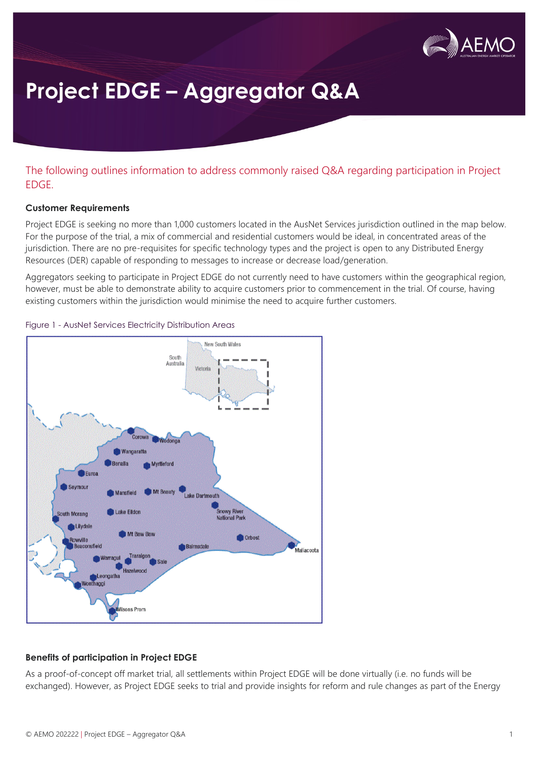

# **Project EDGE – Aggregator Q&A**

The following outlines information to address commonly raised Q&A regarding participation in Project EDGE.

#### **Customer Requirements**

Project EDGE is seeking no more than 1,000 customers located in the AusNet Services jurisdiction outlined in the map below. For the purpose of the trial, a mix of commercial and residential customers would be ideal, in concentrated areas of the jurisdiction. There are no pre-requisites for specific technology types and the project is open to any Distributed Energy Resources (DER) capable of responding to messages to increase or decrease load/generation.

Aggregators seeking to participate in Project EDGE do not currently need to have customers within the geographical region, however, must be able to demonstrate ability to acquire customers prior to commencement in the trial. Of course, having existing customers within the jurisdiction would minimise the need to acquire further customers.





### **Benefits of participation in Project EDGE**

As a proof-of-concept off market trial, all settlements within Project EDGE will be done virtually (i.e. no funds will be exchanged). However, as Project EDGE seeks to trial and provide insights for reform and rule changes as part of the Energy